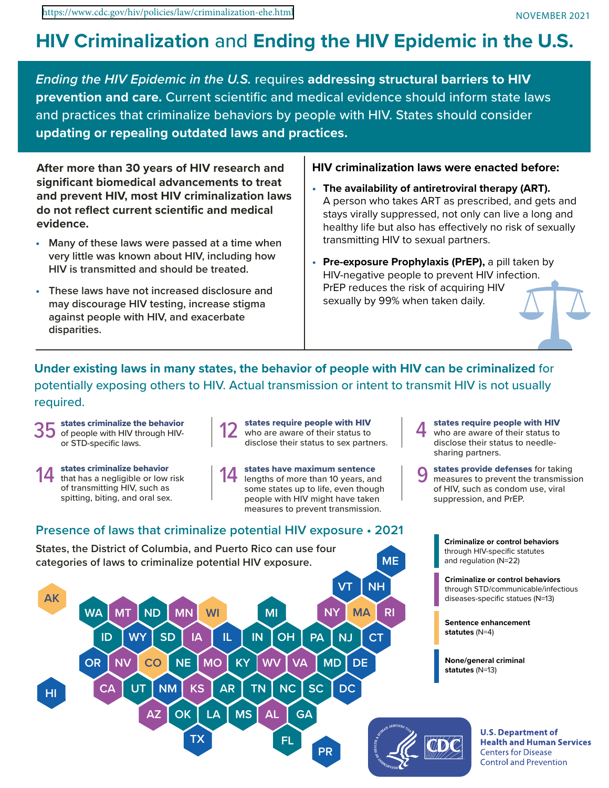# **HIV Criminalization** and **Ending the HIV Epidemic in the U.S.**

*Ending the HIV Epidemic in the U.S.* requires **addressing structural barriers to HIV prevention and care.** Current scientific and medical evidence should inform state laws and practices that criminalize behaviors by people with HIV. States should consider **updating or repealing outdated laws and practices.**

After more than 30 years of HIV research and  $\Box$  HIV criminalization laws were enacted before: **significant biomedical advancements to treat and prevent HIV, most HIV criminalization laws do not reflect current scientific and medical evidence.**

- **• Many of these laws were passed at a time when very little was known about HIV, including how HIV is transmitted and should be treated.**
- **• These laws have not increased disclosure and may discourage HIV testing, increase stigma against people with HIV, and exacerbate disparities.**

- **• The availability of antiretroviral therapy (ART).** A person who takes ART as prescribed, and gets and stays virally suppressed, not only can live a long and healthy life but also has effectively no risk of sexually transmitting HIV to sexual partners.
- **• Pre-exposure Prophylaxis (PrEP),** a pill taken by HIV-negative people to prevent HIV infection. PrEP reduces the risk of acquiring HIV sexually by 99% when taken daily.

**Under existing laws in many states, the behavior of people with HIV can be criminalized** for potentially exposing others to HIV. Actual transmission or intent to transmit HIV is not usually required.

- of people with HIV through HIVor STD-specific laws.
- that has a negligible or low risk of transmitting HIV, such as spitting, biting, and oral sex.



states have maximum sentence 14 states criminalize behavior<br>
14 states have maximum sentence<br>
14 lengths of more than 10 years, and<br>
14 lengths of more than 10 years, and<br>
14 lengths of more than 10 years, and<br>
14 lengths of more than 10 years, and<br>
1 some states up to life, even though people with HIV might have taken measures to prevent transmission.



who are aware of their status to disclose their status to needlesharing partners.

measures to prevent the transmission of HIV, such as condom use, viral suppression, and PrEP.

> **Criminalize or control behaviors** through HIV-specific statutes and regulation (N=22)

**Criminalize or control behaviors** through STD/communicable/infectious diseases-specific statues (N=13)

**Sentence enhancement statutes** (N=4)

**None/general criminal statutes** (N=13)



**U.S. Department of Health and Human Services Centers for Disease Control and Prevention**